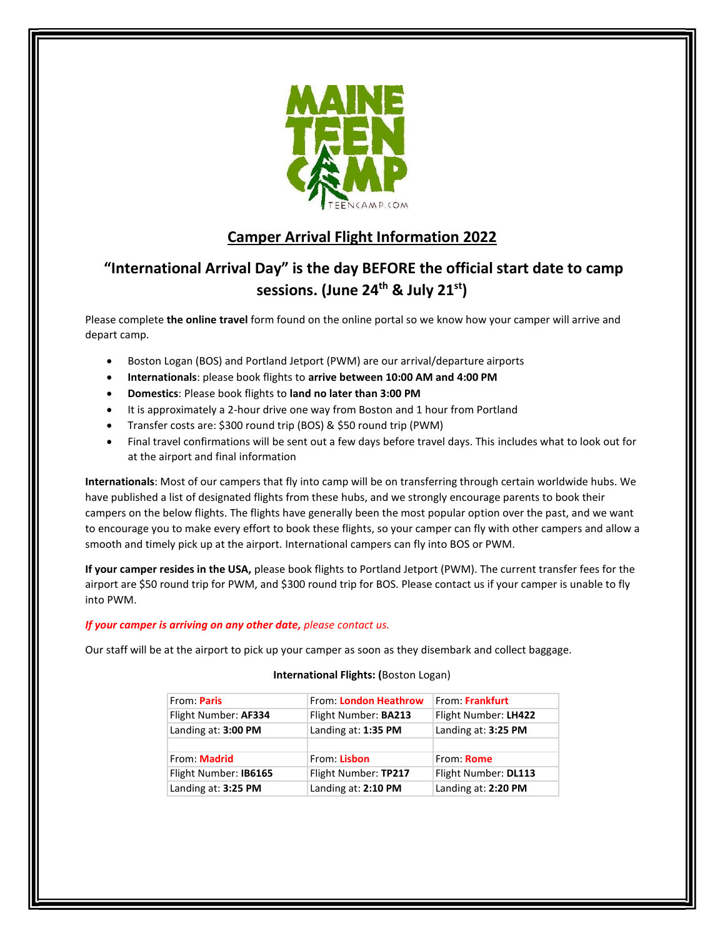

# **Camper Arrival Flight Information 2022**

# **"International Arrival Day" is the day BEFORE the official start date to camp sessions. (June 24th & July 21st)**

Please complete **the online travel** form found on the online portal so we know how your camper will arrive and depart camp.

- Boston Logan (BOS) and Portland Jetport (PWM) are our arrival/departure airports
- **Internationals**: please book flights to **arrive between 10:00 AM and 4:00 PM**
- **Domestics**: Please book flights to **land no later than 3:00 PM**
- It is approximately a 2-hour drive one way from Boston and 1 hour from Portland
- Transfer costs are: \$300 round trip (BOS) & \$50 round trip (PWM)
- Final travel confirmations will be sent out a few days before travel days. This includes what to look out for at the airport and final information

**Internationals**: Most of our campers that fly into camp will be on transferring through certain worldwide hubs. We have published a list of designated flights from these hubs, and we strongly encourage parents to book their campers on the below flights. The flights have generally been the most popular option over the past, and we want to encourage you to make every effort to book these flights, so your camper can fly with other campers and allow a smooth and timely pick up at the airport. International campers can fly into BOS or PWM.

**If your camper resides in the USA,** please book flights to Portland Jetport (PWM). The current transfer fees for the airport are \$50 round trip for PWM, and \$300 round trip for BOS. Please contact us if your camper is unable to fly into PWM.

# *If your camper is arriving on any other date, please contact us.*

Our staff will be at the airport to pick up your camper as soon as they disembark and collect baggage.

# **International Flights: (**Boston Logan)

| From: Paris           | From: London Heathrow | From: Frankfurt      |
|-----------------------|-----------------------|----------------------|
| Flight Number: AF334  | Flight Number: BA213  | Flight Number: LH422 |
| Landing at: 3:00 PM   | Landing at: 1:35 PM   | Landing at: 3:25 PM  |
|                       |                       |                      |
| From: <b>Madrid</b>   | From: Lisbon          | From: Rome           |
| Flight Number: IB6165 | Flight Number: TP217  | Flight Number: DL113 |
| Landing at: 3:25 PM   | Landing at: 2:10 PM   | Landing at: 2:20 PM  |